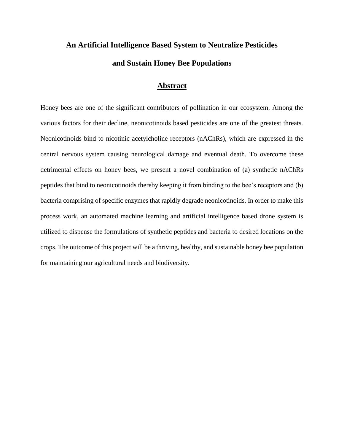# **An Artificial Intelligence Based System to Neutralize Pesticides and Sustain Honey Bee Populations**

## **Abstract**

Honey bees are one of the significant contributors of pollination in our ecosystem. Among the various factors for their decline, neonicotinoids based pesticides are one of the greatest threats. Neonicotinoids bind to nicotinic acetylcholine receptors (nAChRs), which are expressed in the central nervous system causing neurological damage and eventual death. To overcome these detrimental effects on honey bees, we present a novel combination of (a) synthetic nAChRs peptides that bind to neonicotinoids thereby keeping it from binding to the bee's receptors and (b) bacteria comprising of specific enzymes that rapidly degrade neonicotinoids. In order to make this process work, an automated machine learning and artificial intelligence based drone system is utilized to dispense the formulations of synthetic peptides and bacteria to desired locations on the crops. The outcome of this project will be a thriving, healthy, and sustainable honey bee population for maintaining our agricultural needs and biodiversity.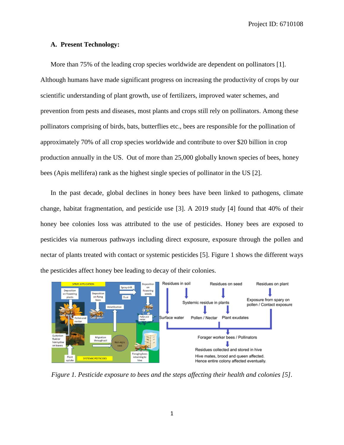## **A. Present Technology:**

More than 75% of the leading crop species worldwide are dependent on pollinators [1]. Although humans have made significant progress on increasing the productivity of crops by our scientific understanding of plant growth, use of fertilizers, improved water schemes, and prevention from pests and diseases, most plants and crops still rely on pollinators. Among these pollinators comprising of birds, bats, butterflies etc., bees are responsible for the pollination of approximately 70% of all crop species worldwide and contribute to over \$20 billion in crop production annually in the US. Out of more than 25,000 globally known species of bees, honey bees (Apis mellifera) rank as the highest single species of pollinator in the US [2].

In the past decade, global declines in honey bees have been linked to pathogens, climate change, habitat fragmentation, and pesticide use [3]. A 2019 study [4] found that 40% of their honey bee colonies loss was attributed to the use of pesticides. Honey bees are exposed to pesticides via numerous pathways including direct exposure, exposure through the pollen and nectar of plants treated with contact or systemic pesticides [5]. Figure 1 shows the different ways the pesticides affect honey bee leading to decay of their colonies.



*Figure 1. Pesticide exposure to bees and the steps affecting their health and colonies [5].*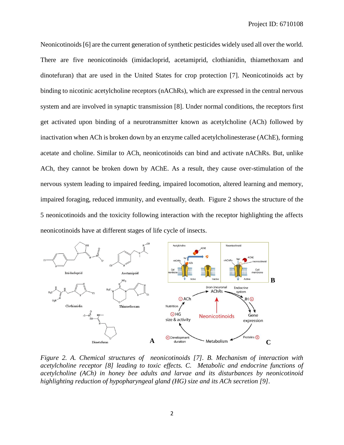Neonicotinoids [6] are the current generation of synthetic pesticides widely used all over the world. There are five neonicotinoids (imidacloprid, acetamiprid, clothianidin, thiamethoxam and dinotefuran) that are used in the United States for crop protection [7]. Neonicotinoids act by binding to nicotinic acetylcholine receptors (nAChRs), which are expressed in the central nervous system and are involved in synaptic transmission [8]. Under normal conditions, the receptors first get activated upon binding of a neurotransmitter known as acetylcholine (ACh) followed by inactivation when ACh is broken down by an enzyme called acetylcholinesterase (AChE), forming acetate and choline. Similar to ACh, neonicotinoids can bind and activate nAChRs. But, unlike ACh, they cannot be broken down by AChE. As a result, they cause over-stimulation of the nervous system leading to impaired feeding, impaired locomotion, altered learning and memory, impaired foraging, reduced immunity, and eventually, death. Figure 2 shows the structure of the 5 neonicotinoids and the toxicity following interaction with the receptor highlighting the affects neonicotinoids have at different stages of life cycle of insects.



*Figure 2. A. Chemical structures of neonicotinoids [7]. B. Mechanism of interaction with acetylcholine receptor [8] leading to toxic effects. C. Metabolic and endocrine functions of acetylcholine (ACh) in honey bee adults and larvae and its disturbances by neonicotinoid highlighting reduction of hypopharyngeal gland (HG) size and its ACh secretion [9].*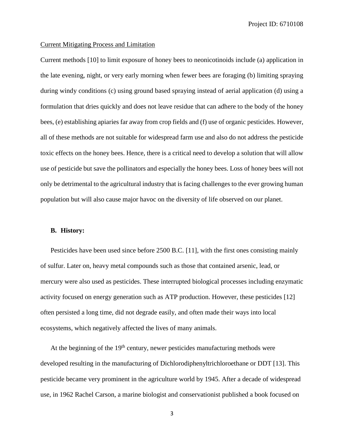## Current Mitigating Process and Limitation

Current methods [10] to limit exposure of honey bees to neonicotinoids include (a) application in the late evening, night, or very early morning when fewer bees are foraging (b) limiting spraying during windy conditions (c) using ground based spraying instead of aerial application (d) using a formulation that dries quickly and does not leave residue that can adhere to the body of the honey bees, (e) establishing apiaries far away from crop fields and (f) use of organic pesticides. However, all of these methods are not suitable for widespread farm use and also do not address the pesticide toxic effects on the honey bees. Hence, there is a critical need to develop a solution that will allow use of pesticide but save the pollinators and especially the honey bees. Loss of honey bees will not only be detrimental to the agricultural industry that is facing challenges to the ever growing human population but will also cause major havoc on the diversity of life observed on our planet.

#### **B. History:**

Pesticides have been used since before 2500 B.C. [11], with the first ones consisting mainly of sulfur. Later on, heavy metal compounds such as those that contained arsenic, lead, or mercury were also used as pesticides. These interrupted biological processes including enzymatic activity focused on energy generation such as ATP production. However, these pesticides [12] often persisted a long time, did not degrade easily, and often made their ways into local ecosystems, which negatively affected the lives of many animals.

At the beginning of the  $19<sup>th</sup>$  century, newer pesticides manufacturing methods were developed resulting in the manufacturing of Dichlorodiphenyltrichloroethane or DDT [13]. This pesticide became very prominent in the agriculture world by 1945. After a decade of widespread use, in 1962 Rachel Carson, a marine biologist and conservationist published a book focused on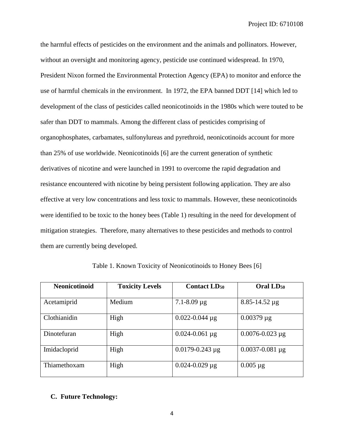the harmful effects of pesticides on the environment and the animals and pollinators. However, without an oversight and monitoring agency, pesticide use continued widespread. In 1970, President Nixon formed the Environmental Protection Agency (EPA) to monitor and enforce the use of harmful chemicals in the environment. In 1972, the EPA banned DDT [14] which led to development of the class of pesticides called neonicotinoids in the 1980s which were touted to be safer than DDT to mammals. Among the different class of pesticides comprising of organophosphates, carbamates, sulfonylureas and pyrethroid, neonicotinoids account for more than 25% of use worldwide. Neonicotinoids [6] are the current generation of synthetic derivatives of nicotine and were launched in 1991 to overcome the rapid degradation and resistance encountered with nicotine by being persistent following application. They are also effective at very low concentrations and less toxic to mammals. However, these neonicotinoids were identified to be toxic to the honey bees (Table 1) resulting in the need for development of mitigation strategies. Therefore, many alternatives to these pesticides and methods to control them are currently being developed.

| <b>Neonicotinoid</b> | <b>Toxicity Levels</b> | <b>Contact LD<sub>50</sub></b> | Oral LD <sub>50</sub>  |
|----------------------|------------------------|--------------------------------|------------------------|
| Acetamiprid          | Medium                 | $7.1 - 8.09 \,\mu g$           | $8.85 - 14.52 \,\mu g$ |
| Clothianidin         | High                   | $0.022 - 0.044 \mu g$          | $0.00379 \mu g$        |
| Dinotefuran          | High                   | $0.024 - 0.061$ µg             | $0.0076 - 0.023 \mu g$ |
| Imidacloprid         | High                   | $0.0179 - 0.243 \mu g$         | $0.0037 - 0.081 \mu g$ |
| Thiamethoxam         | High                   | $0.024 - 0.029 \,\mu g$        | $0.005 \mu g$          |

Table 1. Known Toxicity of Neonicotinoids to Honey Bees [6]

## **C. Future Technology:**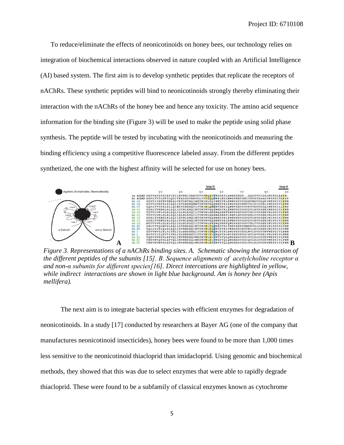To reduce/eliminate the effects of neonicotinoids on honey bees, our technology relies on integration of biochemical interactions observed in nature coupled with an Artificial Intelligence (AI) based system. The first aim is to develop synthetic peptides that replicate the receptors of nAChRs. These synthetic peptides will bind to neonicotinoids strongly thereby eliminating their interaction with the nAChRs of the honey bee and hence any toxicity. The amino acid sequence information for the binding site (Figure 3) will be used to make the peptide using solid phase synthesis. The peptide will be tested by incubating with the neonicotinoids and measuring the binding efficiency using a competitive fluorescence labeled assay. From the different peptides synthetized, the one with the highest affinity will be selected for use on honey bees.



*Figure 3. Representations of a nAChRs binding sites. A. Schematic showing the interaction of the different peptides of the subunits [15]. B. Sequence alignments of acetylcholine receptor α and non-α subunits for different species[16]. Direct intercations are highlighted in yellow, while indirect interactions are shown in light blue background. Am is honey bee (Apis mellifera).*

The next aim is to integrate bacterial species with efficient enzymes for degradation of neonicotinoids. In a study [17] conducted by researchers at Bayer AG (one of the company that manufactures neonicotinoid insecticides), honey bees were found to be more than 1,000 times less sensitive to the neonicotinoid thiacloprid than imidacloprid. Using genomic and biochemical methods, they showed that this was due to select enzymes that were able to rapidly degrade thiacloprid. These were found to be a subfamily of classical enzymes known as cytochrome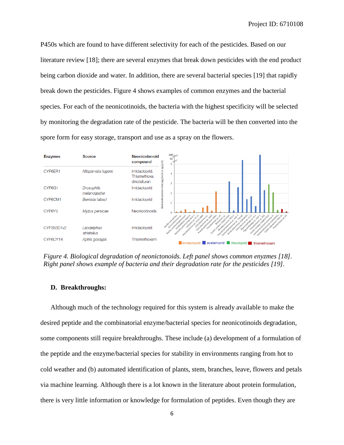P450s which are found to have different selectivity for each of the pesticides. Based on our literature review [18]; there are several enzymes that break down pesticides with the end product being carbon dioxide and water. In addition, there are several bacterial species [19] that rapidly break down the pesticides. Figure 4 shows examples of common enzymes and the bacterial species. For each of the neonicotinoids, the bacteria with the highest specificity will be selected by monitoring the degradation rate of the pesticide. The bacteria will be then converted into the spore form for easy storage, transport and use as a spray on the flowers.



*Figure 4. Biological degradation of neonictonoids. Left panel shows common enyzmes [18]. Right panel shows example of bacteria and their degradation rate for the pesticides [19].*

## **D. Breakthroughs:**

Although much of the technology required for this system is already available to make the desired peptide and the combinatorial enzyme/bacterial species for neonicotinoids degradation, some components still require breakthroughs. These include (a) development of a formulation of the peptide and the enzyme/bacterial species for stability in environments ranging from hot to cold weather and (b) automated identification of plants, stem, branches, leave, flowers and petals via machine learning. Although there is a lot known in the literature about protein formulation, there is very little information or knowledge for formulation of peptides. Even though they are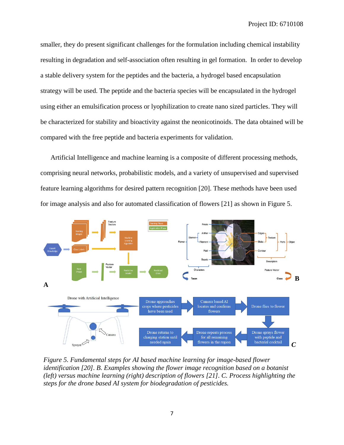smaller, they do present significant challenges for the formulation including chemical instability resulting in degradation and self-association often resulting in gel formation. In order to develop a stable delivery system for the peptides and the bacteria, a hydrogel based encapsulation strategy will be used. The peptide and the bacteria species will be encapsulated in the hydrogel using either an emulsification process or lyophilization to create nano sized particles. They will be characterized for stability and bioactivity against the neonicotinoids. The data obtained will be compared with the free peptide and bacteria experiments for validation.

Artificial Intelligence and machine learning is a composite of different processing methods, comprising neural networks, probabilistic models, and a variety of unsupervised and supervised feature learning algorithms for desired pattern recognition [20]. These methods have been used for image analysis and also for automated classification of flowers [21] as shown in Figure 5.



*Figure 5. Fundamental steps for AI based machine learning for image-based flower identification [20]. B. Examples showing the flower image recognition based on a botanist (left) versus machine learning (right) description of flowers [21]. C. Process highlighting the steps for the drone based AI system for biodegradation of pesticides.*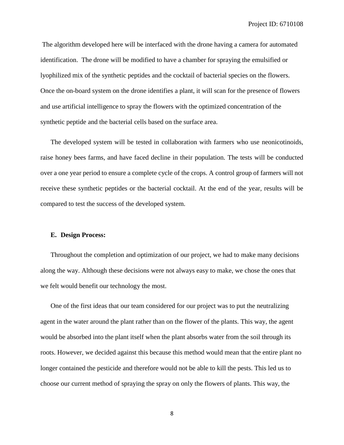The algorithm developed here will be interfaced with the drone having a camera for automated identification. The drone will be modified to have a chamber for spraying the emulsified or lyophilized mix of the synthetic peptides and the cocktail of bacterial species on the flowers. Once the on-board system on the drone identifies a plant, it will scan for the presence of flowers and use artificial intelligence to spray the flowers with the optimized concentration of the synthetic peptide and the bacterial cells based on the surface area.

The developed system will be tested in collaboration with farmers who use neonicotinoids, raise honey bees farms, and have faced decline in their population. The tests will be conducted over a one year period to ensure a complete cycle of the crops. A control group of farmers will not receive these synthetic peptides or the bacterial cocktail. At the end of the year, results will be compared to test the success of the developed system.

## **E. Design Process:**

Throughout the completion and optimization of our project, we had to make many decisions along the way. Although these decisions were not always easy to make, we chose the ones that we felt would benefit our technology the most.

One of the first ideas that our team considered for our project was to put the neutralizing agent in the water around the plant rather than on the flower of the plants. This way, the agent would be absorbed into the plant itself when the plant absorbs water from the soil through its roots. However, we decided against this because this method would mean that the entire plant no longer contained the pesticide and therefore would not be able to kill the pests. This led us to choose our current method of spraying the spray on only the flowers of plants. This way, the

8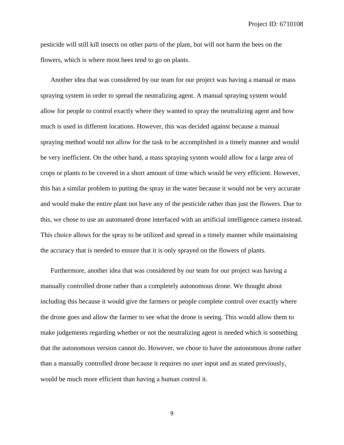pesticide will still kill insects on other parts of the plant, but will not harm the bees on the flowers, which is where most bees tend to go on plants.

Another idea that was considered by our team for our project was having a manual or mass spraying system in order to spread the neutralizing agent. A manual spraying system would allow for people to control exactly where they wanted to spray the neutralizing agent and how much is used in different locations. However, this was decided against because a manual spraying method would not allow for the task to be accomplished in a timely manner and would be very inefficient. On the other hand, a mass spraying system would allow for a large area of crops or plants to be covered in a short amount of time which would be very efficient. However, this has a similar problem to putting the spray in the water because it would not be very accurate and would make the entire plant not have any of the pesticide rather than just the flowers. Due to this, we chose to use an automated drone interfaced with an artificial intelligence camera instead. This choice allows for the spray to be utilized and spread in a timely manner while maintaining the accuracy that is needed to ensure that it is only sprayed on the flowers of plants.

Furthermore, another idea that was considered by our team for our project was having a manually controlled drone rather than a completely autonomous drone. We thought about including this because it would give the farmers or people complete control over exactly where the drone goes and allow the farmer to see what the drone is seeing. This would allow them to make judgements regarding whether or not the neutralizing agent is needed which is something that the autonomous version cannot do. However, we chose to have the autonomous drone rather than a manually controlled drone because it requires no user input and as stated previously, would be much more efficient than having a human control it.

9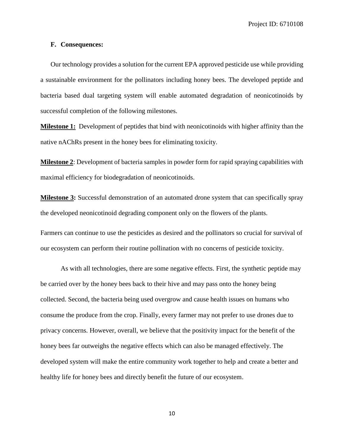## **F. Consequences:**

Our technology provides a solution for the current EPA approved pesticide use while providing a sustainable environment for the pollinators including honey bees. The developed peptide and bacteria based dual targeting system will enable automated degradation of neonicotinoids by successful completion of the following milestones.

**Milestone 1:** Development of peptides that bind with neonicotinoids with higher affinity than the native nAChRs present in the honey bees for eliminating toxicity.

**Milestone 2**: Development of bacteria samples in powder form for rapid spraying capabilities with maximal efficiency for biodegradation of neonicotinoids.

**Milestone 3:** Successful demonstration of an automated drone system that can specifically spray the developed neonicotinoid degrading component only on the flowers of the plants.

Farmers can continue to use the pesticides as desired and the pollinators so crucial for survival of our ecosystem can perform their routine pollination with no concerns of pesticide toxicity.

As with all technologies, there are some negative effects. First, the synthetic peptide may be carried over by the honey bees back to their hive and may pass onto the honey being collected. Second, the bacteria being used overgrow and cause health issues on humans who consume the produce from the crop. Finally, every farmer may not prefer to use drones due to privacy concerns. However, overall, we believe that the positivity impact for the benefit of the honey bees far outweighs the negative effects which can also be managed effectively. The developed system will make the entire community work together to help and create a better and healthy life for honey bees and directly benefit the future of our ecosystem.

10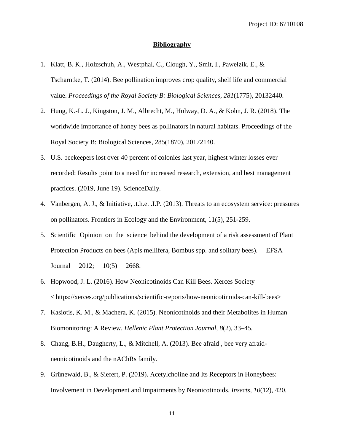## **Bibliography**

- 1. Klatt, B. K., Holzschuh, A., Westphal, C., Clough, Y., Smit, I., Pawelzik, E., & Tscharntke, T. (2014). Bee pollination improves crop quality, shelf life and commercial value. *Proceedings of the Royal Society B: Biological Sciences*, *281*(1775), 20132440.
- 2. Hung, K.-L. J., Kingston, J. M., Albrecht, M., Holway, D. A., & Kohn, J. R. (2018). The worldwide importance of honey bees as pollinators in natural habitats. Proceedings of the Royal Society B: Biological Sciences, 285(1870), 20172140.
- 3. U.S. beekeepers lost over 40 percent of colonies last year, highest winter losses ever recorded: Results point to a need for increased research, extension, and best management practices. (2019, June 19). ScienceDaily.
- 4. Vanbergen, A. J., & Initiative, .t.h.e. .I.P. (2013). Threats to an ecosystem service: pressures on pollinators. Frontiers in Ecology and the Environment, 11(5), 251-259.
- 5. Scientific Opinion on the science behind the development of a risk assessment of Plant Protection Products on bees (Apis mellifera, Bombus spp. and solitary bees). EFSA Journal 2012; 10(5) 2668.
- 6. Hopwood, J. L. (2016). How Neonicotinoids Can Kill Bees. Xerces Society < https://xerces.org/publications/scientific-reports/how-neonicotinoids-can-kill-bees>
- 7. Kasiotis, K. M., & Machera, K. (2015). Neonicotinoids and their Metabolites in Human Biomonitoring: A Review. *Hellenic Plant Protection Journal*, *8*(2), 33–45.
- 8. Chang, B.H., Daugherty, L., & Mitchell, A. (2013). Bee afraid , bee very afraidneonicotinoids and the nAChRs family.
- 9. Grünewald, B., & Siefert, P. (2019). Acetylcholine and Its Receptors in Honeybees: Involvement in Development and Impairments by Neonicotinoids. *Insects*, *10*(12), 420.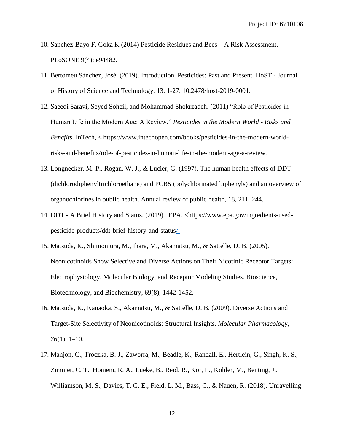- 10. Sanchez-Bayo F, Goka K (2014) Pesticide Residues and Bees A Risk Assessment. PLoSONE 9(4): e94482.
- 11. Bertomeu Sánchez, José. (2019). Introduction. Pesticides: Past and Present. HoST Journal of History of Science and Technology. 13. 1-27. 10.2478/host-2019-0001.
- 12. Saeedi Saravi, Seyed Soheil, and Mohammad Shokrzadeh. (2011) "Role of Pesticides in Human Life in the Modern Age: A Review." *Pesticides in the Modern World - Risks and Benefits*. InTech, < https://www.intechopen.com/books/pesticides-in-the-modern-worldrisks-and-benefits/role-of-pesticides-in-human-life-in-the-modern-age-a-review.
- 13. Longnecker, M. P., Rogan, W. J., & Lucier, G. (1997). The human health effects of DDT (dichlorodiphenyltrichloroethane) and PCBS (polychlorinated biphenyls) and an overview of organochlorines in public health. Annual review of public health, 18, 211–244.
- 14. DDT A Brief History and Status. (2019). EPA. <https://www.epa.gov/ingredients-usedpesticide-products/ddt-brief-history-and-status>
- 15. Matsuda, K., Shimomura, M., Ihara, M., Akamatsu, M., & Sattelle, D. B. (2005). Neonicotinoids Show Selective and Diverse Actions on Their Nicotinic Receptor Targets: Electrophysiology, Molecular Biology, and Receptor Modeling Studies. Bioscience, Biotechnology, and Biochemistry, 69(8), 1442-1452.
- 16. Matsuda, K., Kanaoka, S., Akamatsu, M., & Sattelle, D. B. (2009). Diverse Actions and Target-Site Selectivity of Neonicotinoids: Structural Insights. *Molecular Pharmacology*, *76*(1), 1–10.
- 17. Manjon, C., Troczka, B. J., Zaworra, M., Beadle, K., Randall, E., Hertlein, G., Singh, K. S., Zimmer, C. T., Homem, R. A., Lueke, B., Reid, R., Kor, L., Kohler, M., Benting, J., Williamson, M. S., Davies, T. G. E., Field, L. M., Bass, C., & Nauen, R. (2018). Unravelling